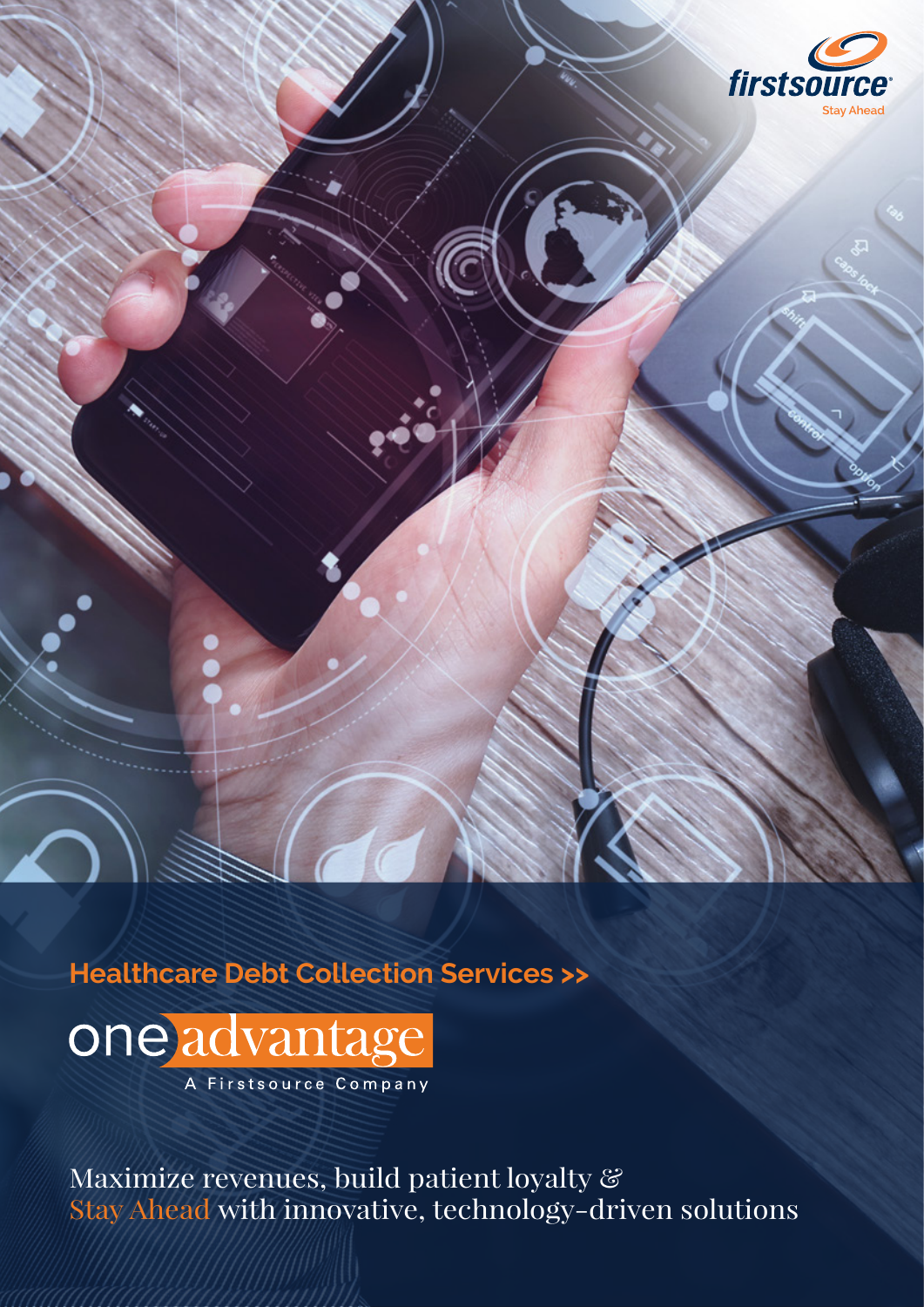

**Healthcare Debt Collection Services >>**

one advantage A Firstsource Company

Maximize revenues, build patient loyalty & Stay Ahead with innovative, technology-driven solutions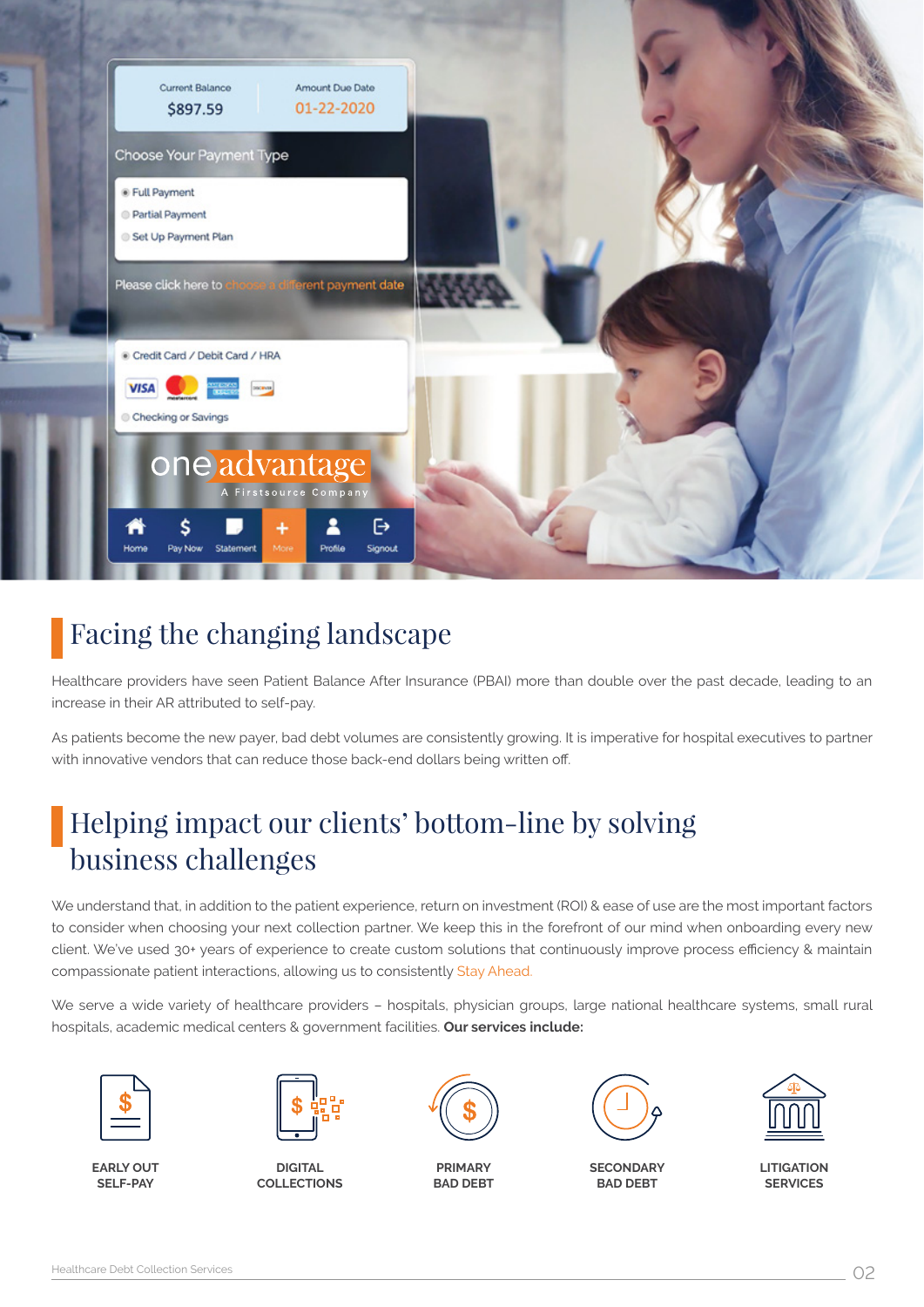

# Facing the changing landscape

Healthcare providers have seen Patient Balance After Insurance (PBAI) more than double over the past decade, leading to an increase in their AR attributed to self-pay.

As patients become the new payer, bad debt volumes are consistently growing. It is imperative for hospital executives to partner with innovative vendors that can reduce those back-end dollars being written off.

# Helping impact our clients' bottom-line by solving business challenges

We understand that, in addition to the patient experience, return on investment (ROI) & ease of use are the most important factors to consider when choosing your next collection partner. We keep this in the forefront of our mind when onboarding every new client. We've used 30+ years of experience to create custom solutions that continuously improve process efficiency & maintain compassionate patient interactions, allowing us to consistently Stay Ahead.

We serve a wide variety of healthcare providers – hospitals, physician groups, large national healthcare systems, small rural hospitals, academic medical centers & government facilities. **Our services include:**



**EARLY OUT SELF-PAY**



**DIGITAL COLLECTIONS**



**PRIMARY BAD DEBT**



**SECONDARY BAD DEBT**



**LITIGATION SERVICES**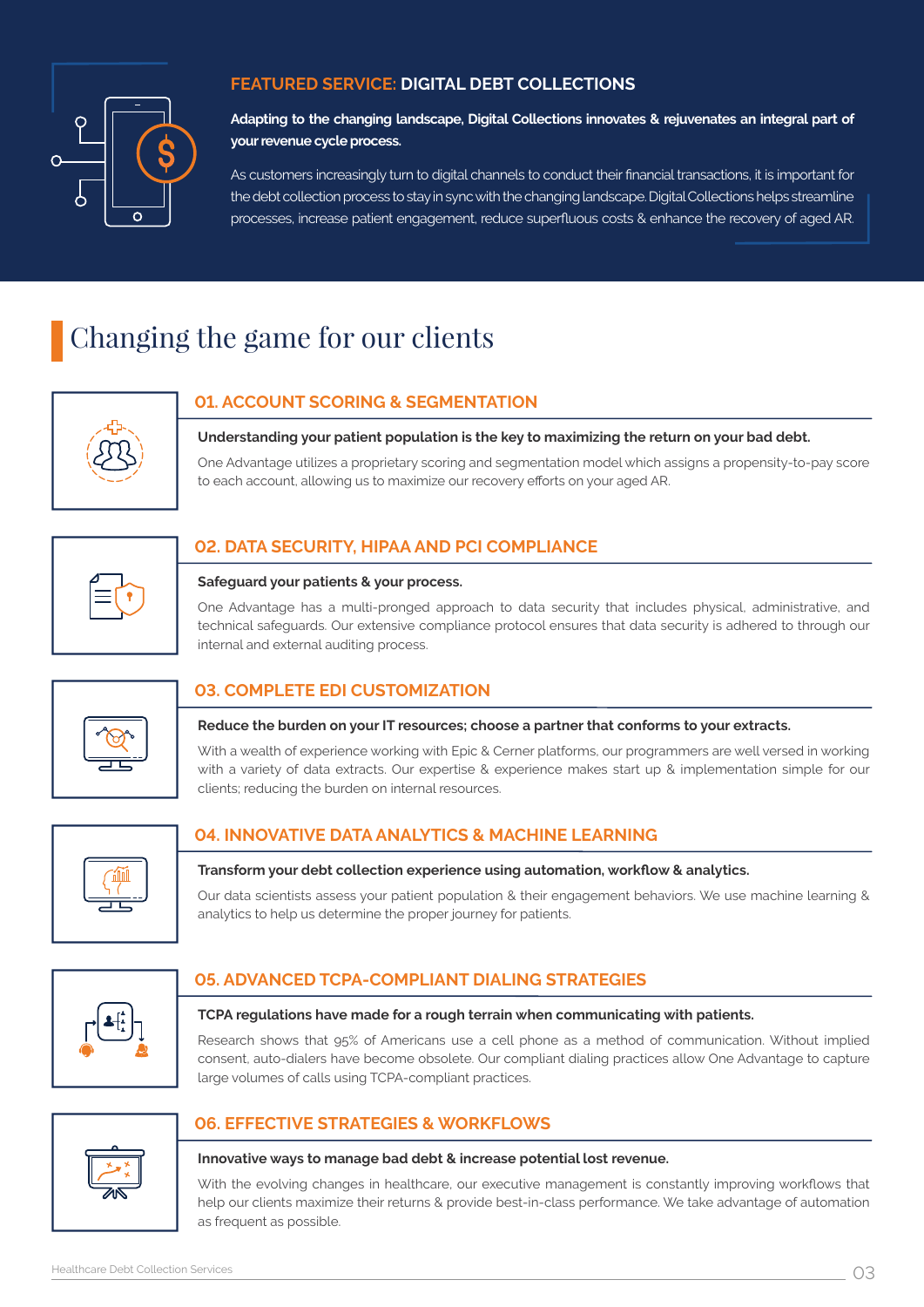

## **FEATURED SERVICE: DIGITAL DEBT COLLECTIONS**

**Adapting to the changing landscape, Digital Collections innovates & rejuvenates an integral part of your revenue cycle process.**

As customers increasingly turn to digital channels to conduct their financial transactions, it is important for the debt collection process to stay in sync with the changing landscape. Digital Collections helps streamline processes, increase patient engagement, reduce superfluous costs & enhance the recovery of aged AR.

# Changing the game for our clients



# **01. ACCOUNT SCORING & SEGMENTATION**

**Understanding your patient population is the key to maximizing the return on your bad debt.**

One Advantage utilizes a proprietary scoring and segmentation model which assigns a propensity-to-pay score to each account, allowing us to maximize our recovery efforts on your aged AR.

## **02. DATA SECURITY, HIPAA AND PCI COMPLIANCE**

### **Safeguard your patients & your process.**

One Advantage has a multi-pronged approach to data security that includes physical, administrative, and technical safeguards. Our extensive compliance protocol ensures that data security is adhered to through our internal and external auditing process.

## **03. COMPLETE EDI CUSTOMIZATION**

### **Reduce the burden on your IT resources; choose a partner that conforms to your extracts.**

With a wealth of experience working with Epic & Cerner platforms, our programmers are well versed in working with a variety of data extracts. Our expertise & experience makes start up & implementation simple for our clients; reducing the burden on internal resources.

| uш |  |
|----|--|
|    |  |
|    |  |

### **04. INNOVATIVE DATA ANALYTICS & MACHINE LEARNING**

#### **Transform your debt collection experience using automation, workflow & analytics.**

Our data scientists assess your patient population & their engagement behaviors. We use machine learning & analytics to help us determine the proper journey for patients.



## **05. ADVANCED TCPA-COMPLIANT DIALING STRATEGIES**

#### **TCPA regulations have made for a rough terrain when communicating with patients.**

Research shows that 95% of Americans use a cell phone as a method of communication. Without implied consent, auto-dialers have become obsolete. Our compliant dialing practices allow One Advantage to capture large volumes of calls using TCPA-compliant practices.



### **06. EFFECTIVE STRATEGIES & WORKFLOWS**

#### **Innovative ways to manage bad debt & increase potential lost revenue.**

With the evolving changes in healthcare, our executive management is constantly improving workflows that help our clients maximize their returns & provide best-in-class performance. We take advantage of automation as frequent as possible.